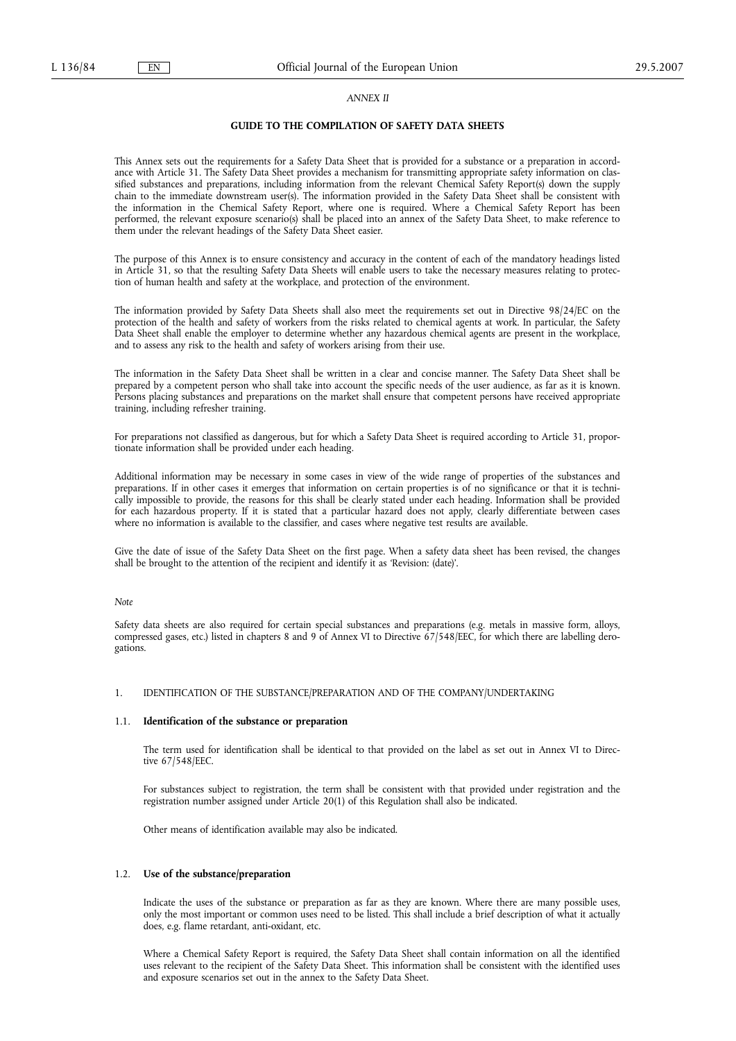#### *ANNEX II*

# **GUIDE TO THE COMPILATION OF SAFETY DATA SHEETS**

This Annex sets out the requirements for a Safety Data Sheet that is provided for a substance or a preparation in accordance with Article 31. The Safety Data Sheet provides a mechanism for transmitting appropriate safety information on classified substances and preparations, including information from the relevant Chemical Safety Report(s) down the supply chain to the immediate downstream user(s). The information provided in the Safety Data Sheet shall be consistent with the information in the Chemical Safety Report, where one is required. Where a Chemical Safety Report has been performed, the relevant exposure scenario(s) shall be placed into an annex of the Safety Data Sheet, to make reference to them under the relevant headings of the Safety Data Sheet easier.

The purpose of this Annex is to ensure consistency and accuracy in the content of each of the mandatory headings listed in Article 31, so that the resulting Safety Data Sheets will enable users to take the necessary measures relating to protection of human health and safety at the workplace, and protection of the environment.

The information provided by Safety Data Sheets shall also meet the requirements set out in Directive 98/24/EC on the protection of the health and safety of workers from the risks related to chemical agents at work. In particular, the Safety Data Sheet shall enable the employer to determine whether any hazardous chemical agents are present in the workplace, and to assess any risk to the health and safety of workers arising from their use.

The information in the Safety Data Sheet shall be written in a clear and concise manner. The Safety Data Sheet shall be prepared by a competent person who shall take into account the specific needs of the user audience, as far as it is known. Persons placing substances and preparations on the market shall ensure that competent persons have received appropriate training, including refresher training.

For preparations not classified as dangerous, but for which a Safety Data Sheet is required according to Article 31, proportionate information shall be provided under each heading.

Additional information may be necessary in some cases in view of the wide range of properties of the substances and preparations. If in other cases it emerges that information on certain properties is of no significance or that it is technically impossible to provide, the reasons for this shall be clearly stated under each heading. Information shall be provided for each hazardous property. If it is stated that a particular hazard does not apply, clearly differentiate between cases where no information is available to the classifier, and cases where negative test results are available.

Give the date of issue of the Safety Data Sheet on the first page. When a safety data sheet has been revised, the changes shall be brought to the attention of the recipient and identify it as 'Revision: (date)'.

## *Note*

Safety data sheets are also required for certain special substances and preparations (e.g. metals in massive form, alloys, compressed gases, etc.) listed in chapters 8 and 9 of Annex VI to Directive 67/548/EEC, for which there are labelling derogations.

## 1. IDENTIFICATION OF THE SUBSTANCE/PREPARATION AND OF THE COMPANY/UNDERTAKING

## 1.1. **Identification of the substance or preparation**

The term used for identification shall be identical to that provided on the label as set out in Annex VI to Directive 67/548/EEC.

For substances subject to registration, the term shall be consistent with that provided under registration and the registration number assigned under Article 20(1) of this Regulation shall also be indicated.

Other means of identification available may also be indicated.

## 1.2. **Use of the substance/preparation**

Indicate the uses of the substance or preparation as far as they are known. Where there are many possible uses, only the most important or common uses need to be listed. This shall include a brief description of what it actually does, e.g. flame retardant, anti-oxidant, etc.

Where a Chemical Safety Report is required, the Safety Data Sheet shall contain information on all the identified uses relevant to the recipient of the Safety Data Sheet. This information shall be consistent with the identified uses and exposure scenarios set out in the annex to the Safety Data Sheet.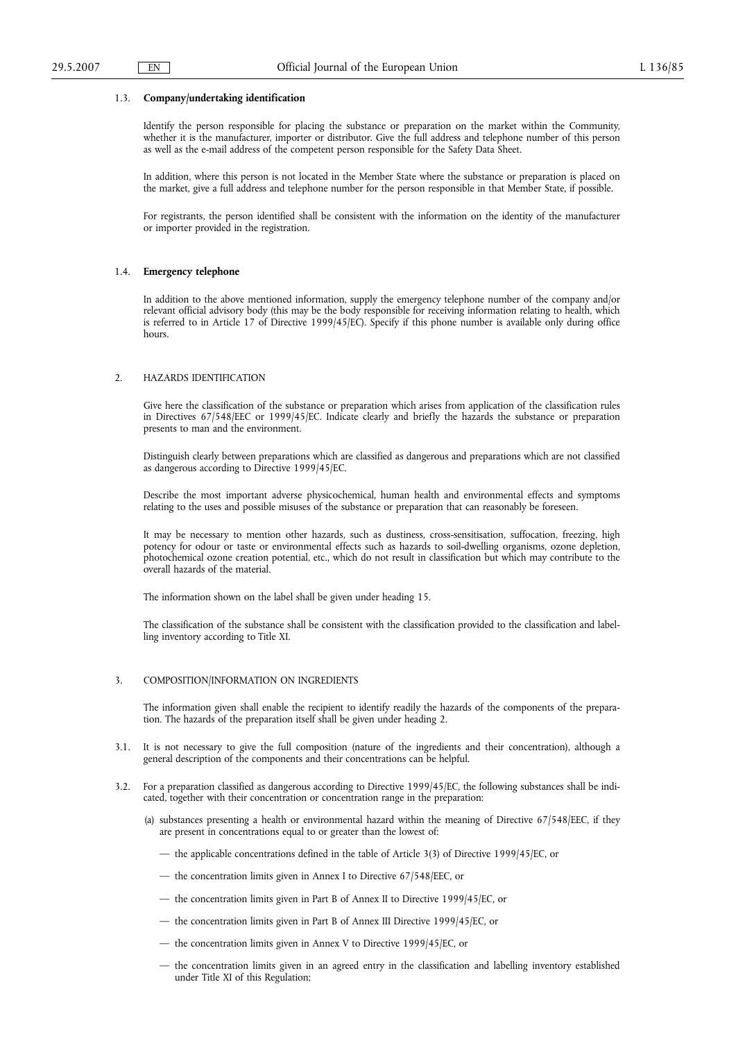#### 1.3. **Company/undertaking identification**

Identify the person responsible for placing the substance or preparation on the market within the Community, whether it is the manufacturer, importer or distributor. Give the full address and telephone number of this person as well as the e-mail address of the competent person responsible for the Safety Data Sheet.

In addition, where this person is not located in the Member State where the substance or preparation is placed on the market, give a full address and telephone number for the person responsible in that Member State, if possible.

For registrants, the person identified shall be consistent with the information on the identity of the manufacturer or importer provided in the registration.

## 1.4. **Emergency telephone**

In addition to the above mentioned information, supply the emergency telephone number of the company and/or relevant official advisory body (this may be the body responsible for receiving information relating to health, which is referred to in Article 17 of Directive 1999/45/EC). Specify if this phone number is available only during office hours.

#### 2. HAZARDS IDENTIFICATION

Give here the classification of the substance or preparation which arises from application of the classification rules in Directives 67/548/EEC or 1999/45/EC. Indicate clearly and briefly the hazards the substance or preparation presents to man and the environment.

Distinguish clearly between preparations which are classified as dangerous and preparations which are not classified as dangerous according to Directive 1999/45/EC.

Describe the most important adverse physicochemical, human health and environmental effects and symptoms relating to the uses and possible misuses of the substance or preparation that can reasonably be foreseen.

It may be necessary to mention other hazards, such as dustiness, cross-sensitisation, suffocation, freezing, high potency for odour or taste or environmental effects such as hazards to soil-dwelling organisms, ozone depletion, photochemical ozone creation potential, etc., which do not result in classification but which may contribute to the overall hazards of the material.

The information shown on the label shall be given under heading 15.

The classification of the substance shall be consistent with the classification provided to the classification and labelling inventory according to Title XI.

#### 3. COMPOSITION/INFORMATION ON INGREDIENTS

The information given shall enable the recipient to identify readily the hazards of the components of the preparation. The hazards of the preparation itself shall be given under heading 2.

- 3.1. It is not necessary to give the full composition (nature of the ingredients and their concentration), although a general description of the components and their concentrations can be helpful.
- 3.2. For a preparation classified as dangerous according to Directive 1999/45/EC, the following substances shall be indicated, together with their concentration or concentration range in the preparation:
	- (a) substances presenting a health or environmental hazard within the meaning of Directive 67/548/EEC, if they are present in concentrations equal to or greater than the lowest of:
		- the applicable concentrations defined in the table of Article 3(3) of Directive 1999/45/EC, or
		- the concentration limits given in Annex I to Directive 67/548/EEC, or
		- the concentration limits given in Part B of Annex II to Directive 1999/45/EC, or
		- the concentration limits given in Part B of Annex III Directive 1999/45/EC, or
		- the concentration limits given in Annex V to Directive 1999/45/EC, or
		- the concentration limits given in an agreed entry in the classification and labelling inventory established under Title XI of this Regulation;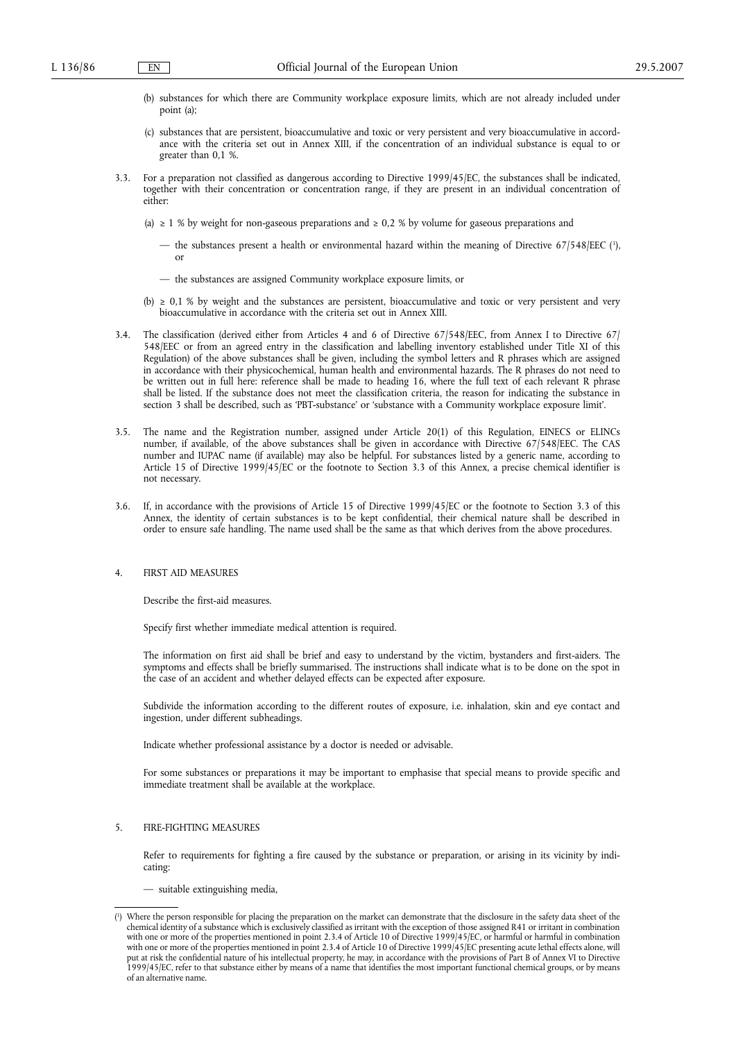- (b) substances for which there are Community workplace exposure limits, which are not already included under point (a);
- (c) substances that are persistent, bioaccumulative and toxic or very persistent and very bioaccumulative in accordance with the criteria set out in Annex XIII, if the concentration of an individual substance is equal to or greater than 0,1 %.
- 3.3. For a preparation not classified as dangerous according to Directive 1999/45/EC, the substances shall be indicated, together with their concentration or concentration range, if they are present in an individual concentration of either:
	- (a)  $\geq$  1 % by weight for non-gaseous preparations and  $\geq$  0,2 % by volume for gaseous preparations and
		- the substances present a health or environmental hazard within the meaning of Directive  $67/548/EEC$  ( $\frac{1}{2}$ ) or
		- the substances are assigned Community workplace exposure limits, or
	- (b)  $\geq 0.1$  % by weight and the substances are persistent, bioaccumulative and toxic or very persistent and very bioaccumulative in accordance with the criteria set out in Annex XIII.
- 3.4. The classification (derived either from Articles 4 and 6 of Directive 67/548/EEC, from Annex I to Directive 67/ 548/EEC or from an agreed entry in the classification and labelling inventory established under Title XI of this Regulation) of the above substances shall be given, including the symbol letters and R phrases which are assigned in accordance with their physicochemical, human health and environmental hazards. The R phrases do not need to be written out in full here: reference shall be made to heading 16, where the full text of each relevant R phrase shall be listed. If the substance does not meet the classification criteria, the reason for indicating the substance in section 3 shall be described, such as 'PBT-substance' or 'substance with a Community workplace exposure limit'.
- 3.5. The name and the Registration number, assigned under Article 20(1) of this Regulation, EINECS or ELINCs number, if available, of the above substances shall be given in accordance with Directive 67/548/EEC. The CAS number and IUPAC name (if available) may also be helpful. For substances listed by a generic name, according to Article 15 of Directive 1999/45/EC or the footnote to Section 3.3 of this Annex, a precise chemical identifier is not necessary.
- 3.6. If, in accordance with the provisions of Article 15 of Directive 1999/45/EC or the footnote to Section 3.3 of this Annex, the identity of certain substances is to be kept confidential, their chemical nature shall be described in order to ensure safe handling. The name used shall be the same as that which derives from the above procedures.

# 4. FIRST AID MEASURES

Describe the first-aid measures.

Specify first whether immediate medical attention is required.

The information on first aid shall be brief and easy to understand by the victim, bystanders and first-aiders. The symptoms and effects shall be briefly summarised. The instructions shall indicate what is to be done on the spot in the case of an accident and whether delayed effects can be expected after exposure.

Subdivide the information according to the different routes of exposure, i.e. inhalation, skin and eye contact and ingestion, under different subheadings.

Indicate whether professional assistance by a doctor is needed or advisable.

For some substances or preparations it may be important to emphasise that special means to provide specific and immediate treatment shall be available at the workplace.

## 5. FIRE-FIGHTING MEASURES

Refer to requirements for fighting a fire caused by the substance or preparation, or arising in its vicinity by indicating:

<sup>—</sup> suitable extinguishing media,

 $\binom{1}{1}$ ) Where the person responsible for placing the preparation on the market can demonstrate that the disclosure in the safety data sheet of the chemical identity of a substance which is exclusively classified as irritant with the exception of those assigned R41 or irritant in combination with one or more of the properties mentioned in point 2.3.4 of Article 10 of Directive 1999/45/EC, or harmful or harmful in combination with one or more of the properties mentioned in point 2.3.4 of Article 10 of Directive 1999/45/EC presenting acute lethal effects alone, will put at risk the confidential nature of his intellectual property, he may, in accordance with the provisions of Part B of Annex VI to Directive 1999/45/EC, refer to that substance either by means of a name that identifies the most important functional chemical groups, or by means of an alternative name.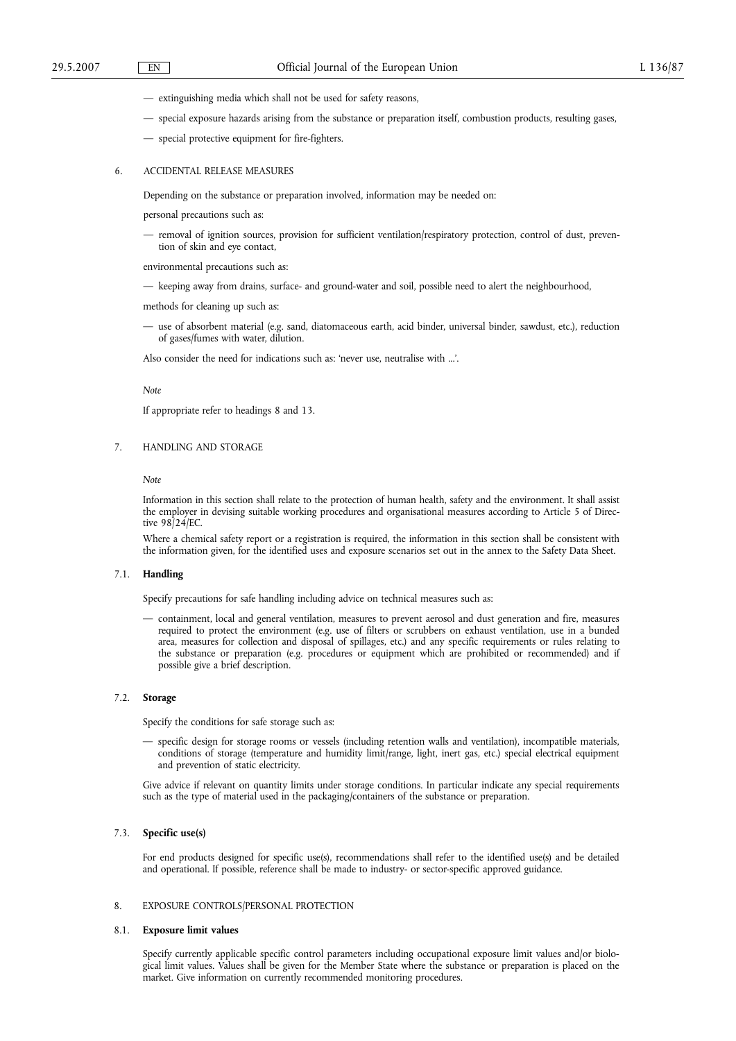- extinguishing media which shall not be used for safety reasons,
- special exposure hazards arising from the substance or preparation itself, combustion products, resulting gases,
- special protective equipment for fire-fighters.

## 6. ACCIDENTAL RELEASE MEASURES

Depending on the substance or preparation involved, information may be needed on:

personal precautions such as:

removal of ignition sources, provision for sufficient ventilation/respiratory protection, control of dust, prevention of skin and eye contact,

environmental precautions such as:

— keeping away from drains, surface- and ground-water and soil, possible need to alert the neighbourhood,

methods for cleaning up such as:

— use of absorbent material (e.g. sand, diatomaceous earth, acid binder, universal binder, sawdust, etc.), reduction of gases/fumes with water, dilution.

Also consider the need for indications such as: 'never use, neutralise with ...'.

#### *Note*

If appropriate refer to headings 8 and 13.

### 7. HANDLING AND STORAGE

*Note*

Information in this section shall relate to the protection of human health, safety and the environment. It shall assist the employer in devising suitable working procedures and organisational measures according to Article 5 of Directive 98/24/EC.

Where a chemical safety report or a registration is required, the information in this section shall be consistent with the information given, for the identified uses and exposure scenarios set out in the annex to the Safety Data Sheet.

#### 7.1. **Handling**

Specify precautions for safe handling including advice on technical measures such as:

— containment, local and general ventilation, measures to prevent aerosol and dust generation and fire, measures required to protect the environment (e.g. use of filters or scrubbers on exhaust ventilation, use in a bunded area, measures for collection and disposal of spillages, etc.) and any specific requirements or rules relating to the substance or preparation (e.g. procedures or equipment which are prohibited or recommended) and if possible give a brief description.

### 7.2. **Storage**

Specify the conditions for safe storage such as:

specific design for storage rooms or vessels (including retention walls and ventilation), incompatible materials, conditions of storage (temperature and humidity limit/range, light, inert gas, etc.) special electrical equipment and prevention of static electricity.

Give advice if relevant on quantity limits under storage conditions. In particular indicate any special requirements such as the type of material used in the packaging/containers of the substance or preparation.

# 7.3. **Specific use(s)**

For end products designed for specific use(s), recommendations shall refer to the identified use(s) and be detailed and operational. If possible, reference shall be made to industry- or sector-specific approved guidance.

# 8. EXPOSURE CONTROLS/PERSONAL PROTECTION

# 8.1. **Exposure limit values**

Specify currently applicable specific control parameters including occupational exposure limit values and/or biological limit values. Values shall be given for the Member State where the substance or preparation is placed on the market. Give information on currently recommended monitoring procedures.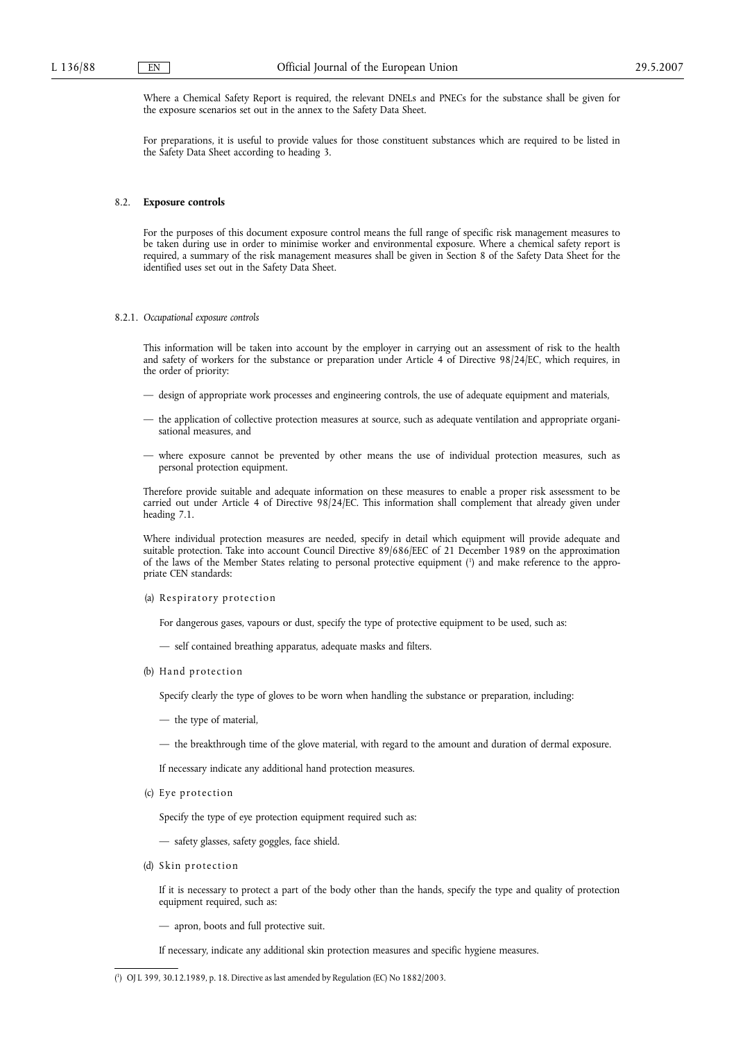Where a Chemical Safety Report is required, the relevant DNELs and PNECs for the substance shall be given for the exposure scenarios set out in the annex to the Safety Data Sheet.

For preparations, it is useful to provide values for those constituent substances which are required to be listed in the Safety Data Sheet according to heading 3.

#### 8.2. **Exposure controls**

For the purposes of this document exposure control means the full range of specific risk management measures to be taken during use in order to minimise worker and environmental exposure. Where a chemical safety report is required, a summary of the risk management measures shall be given in Section 8 of the Safety Data Sheet for the identified uses set out in the Safety Data Sheet.

## 8.2.1. *Occupational exposure controls*

This information will be taken into account by the employer in carrying out an assessment of risk to the health and safety of workers for the substance or preparation under Article 4 of Directive 98/24/EC, which requires, in the order of priority:

- design of appropriate work processes and engineering controls, the use of adequate equipment and materials,
- the application of collective protection measures at source, such as adequate ventilation and appropriate organisational measures, and
- where exposure cannot be prevented by other means the use of individual protection measures, such as personal protection equipment.

Therefore provide suitable and adequate information on these measures to enable a proper risk assessment to be carried out under Article 4 of Directive 98/24/EC. This information shall complement that already given under heading 7.1.

Where individual protection measures are needed, specify in detail which equipment will provide adequate and suitable protection. Take into account Council Directive 89/686/EEC of 21 December 1989 on the approximation of the laws of the Member States relating to personal protective equipment (1 ) and make reference to the appropriate CEN standards:

(a) Respiratory protection

For dangerous gases, vapours or dust, specify the type of protective equipment to be used, such as:

- self contained breathing apparatus, adequate masks and filters.
- (b) Hand protection

Specify clearly the type of gloves to be worn when handling the substance or preparation, including:

- the type of material,
- the breakthrough time of the glove material, with regard to the amount and duration of dermal exposure.

If necessary indicate any additional hand protection measures.

(c) Eye protection

Specify the type of eye protection equipment required such as:

— safety glasses, safety goggles, face shield.

(d) Skin protection

If it is necessary to protect a part of the body other than the hands, specify the type and quality of protection equipment required, such as:

— apron, boots and full protective suit.

If necessary, indicate any additional skin protection measures and specific hygiene measures.

<sup>(</sup> 1 ) OJ L 399, 30.12.1989, p. 18. Directive as last amended by Regulation (EC) No 1882/2003.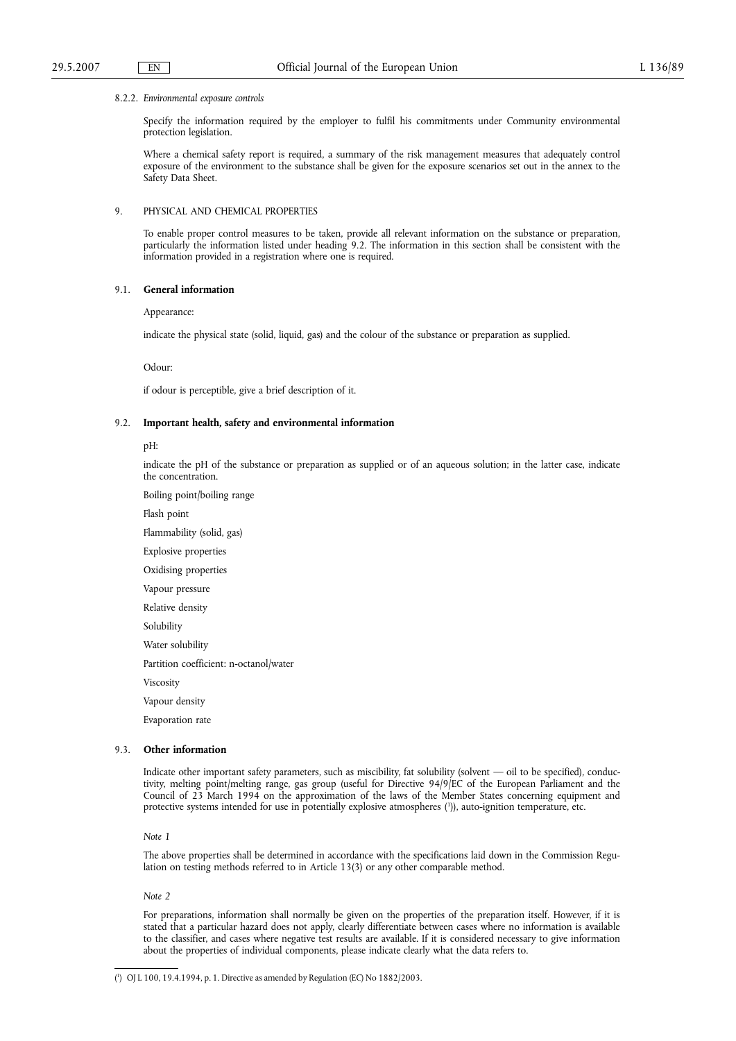#### 8.2.2. *Environmental exposure controls*

Specify the information required by the employer to fulfil his commitments under Community environmental protection legislation.

Where a chemical safety report is required, a summary of the risk management measures that adequately control exposure of the environment to the substance shall be given for the exposure scenarios set out in the annex to the Safety Data Sheet.

## 9. PHYSICAL AND CHEMICAL PROPERTIES

To enable proper control measures to be taken, provide all relevant information on the substance or preparation, particularly the information listed under heading 9.2. The information in this section shall be consistent with the information provided in a registration where one is required.

## 9.1. **General information**

Appearance:

indicate the physical state (solid, liquid, gas) and the colour of the substance or preparation as supplied.

Odour:

if odour is perceptible, give a brief description of it.

## 9.2. **Important health, safety and environmental information**

pH:

indicate the pH of the substance or preparation as supplied or of an aqueous solution; in the latter case, indicate the concentration.

Boiling point/boiling range

Flash point

Flammability (solid, gas) Explosive properties Oxidising properties Vapour pressure Relative density Solubility Water solubility Partition coefficient: n-octanol/water Viscosity Vapour density

Evaporation rate

# 9.3. **Other information**

Indicate other important safety parameters, such as miscibility, fat solubility (solvent — oil to be specified), conductivity, melting point/melting range, gas group (useful for Directive 94/9/EC of the European Parliament and the Council of 23 March 1994 on the approximation of the laws of the Member States concerning equipment and protective systems intended for use in potentially explosive atmospheres (1)), auto-ignition temperature, etc.

## *Note 1*

The above properties shall be determined in accordance with the specifications laid down in the Commission Regulation on testing methods referred to in Article 13(3) or any other comparable method.

### *Note 2*

For preparations, information shall normally be given on the properties of the preparation itself. However, if it is stated that a particular hazard does not apply, clearly differentiate between cases where no information is available to the classifier, and cases where negative test results are available. If it is considered necessary to give information about the properties of individual components, please indicate clearly what the data refers to.

#### ( 1 ) OJ L 100, 19.4.1994, p. 1. Directive as amended by Regulation (EC) No 1882/2003.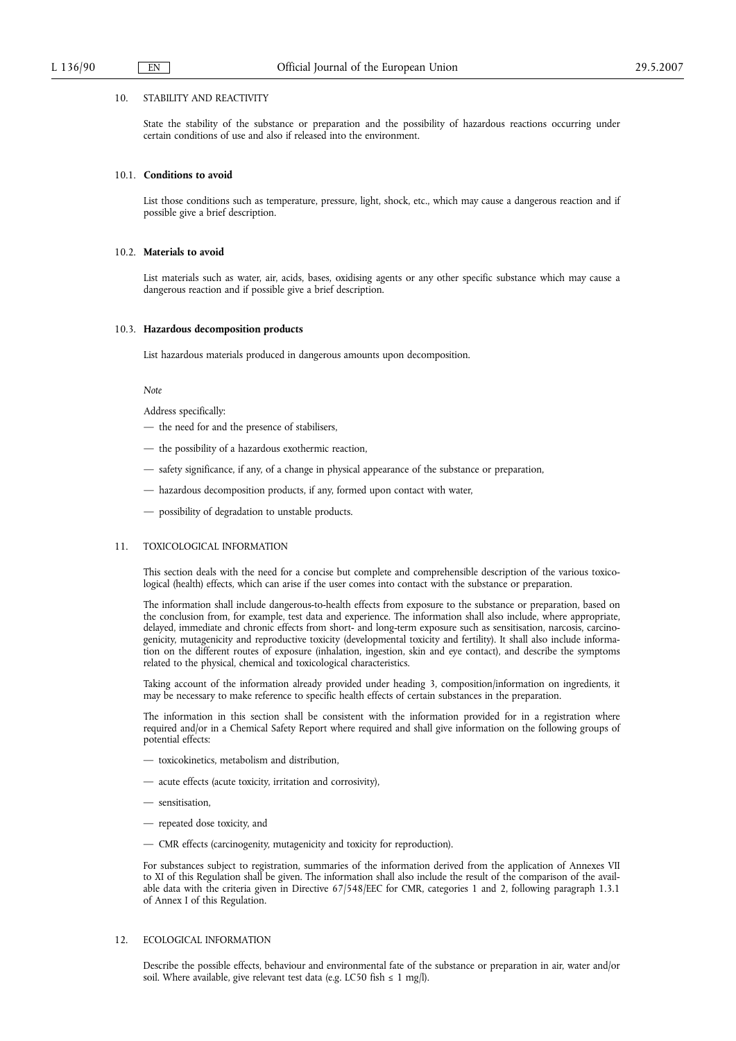## 10. STABILITY AND REACTIVITY

State the stability of the substance or preparation and the possibility of hazardous reactions occurring under certain conditions of use and also if released into the environment.

## 10.1. **Conditions to avoid**

List those conditions such as temperature, pressure, light, shock, etc., which may cause a dangerous reaction and if possible give a brief description.

## 10.2. **Materials to avoid**

List materials such as water, air, acids, bases, oxidising agents or any other specific substance which may cause a dangerous reaction and if possible give a brief description.

#### 10.3. **Hazardous decomposition products**

List hazardous materials produced in dangerous amounts upon decomposition.

#### *Note*

Address specifically:

- the need for and the presence of stabilisers,
- the possibility of a hazardous exothermic reaction,
- safety significance, if any, of a change in physical appearance of the substance or preparation,
- hazardous decomposition products, if any, formed upon contact with water,
- possibility of degradation to unstable products.

# 11. TOXICOLOGICAL INFORMATION

This section deals with the need for a concise but complete and comprehensible description of the various toxicological (health) effects, which can arise if the user comes into contact with the substance or preparation.

The information shall include dangerous-to-health effects from exposure to the substance or preparation, based on the conclusion from, for example, test data and experience. The information shall also include, where appropriate, delayed, immediate and chronic effects from short- and long-term exposure such as sensitisation, narcosis, carcinogenicity, mutagenicity and reproductive toxicity (developmental toxicity and fertility). It shall also include information on the different routes of exposure (inhalation, ingestion, skin and eye contact), and describe the symptoms related to the physical, chemical and toxicological characteristics.

Taking account of the information already provided under heading 3, composition/information on ingredients, it may be necessary to make reference to specific health effects of certain substances in the preparation.

The information in this section shall be consistent with the information provided for in a registration where required and/or in a Chemical Safety Report where required and shall give information on the following groups of potential effects:

- toxicokinetics, metabolism and distribution,
- acute effects (acute toxicity, irritation and corrosivity),
- sensitisation,
- repeated dose toxicity, and
- CMR effects (carcinogenity, mutagenicity and toxicity for reproduction).

For substances subject to registration, summaries of the information derived from the application of Annexes VII to XI of this Regulation shall be given. The information shall also include the result of the comparison of the available data with the criteria given in Directive 67/548/EEC for CMR, categories 1 and 2, following paragraph 1.3.1 of Annex I of this Regulation.

## 12. ECOLOGICAL INFORMATION

Describe the possible effects, behaviour and environmental fate of the substance or preparation in air, water and/or soil. Where available, give relevant test data (e.g. LC50 fish  $\leq 1$  mg/l).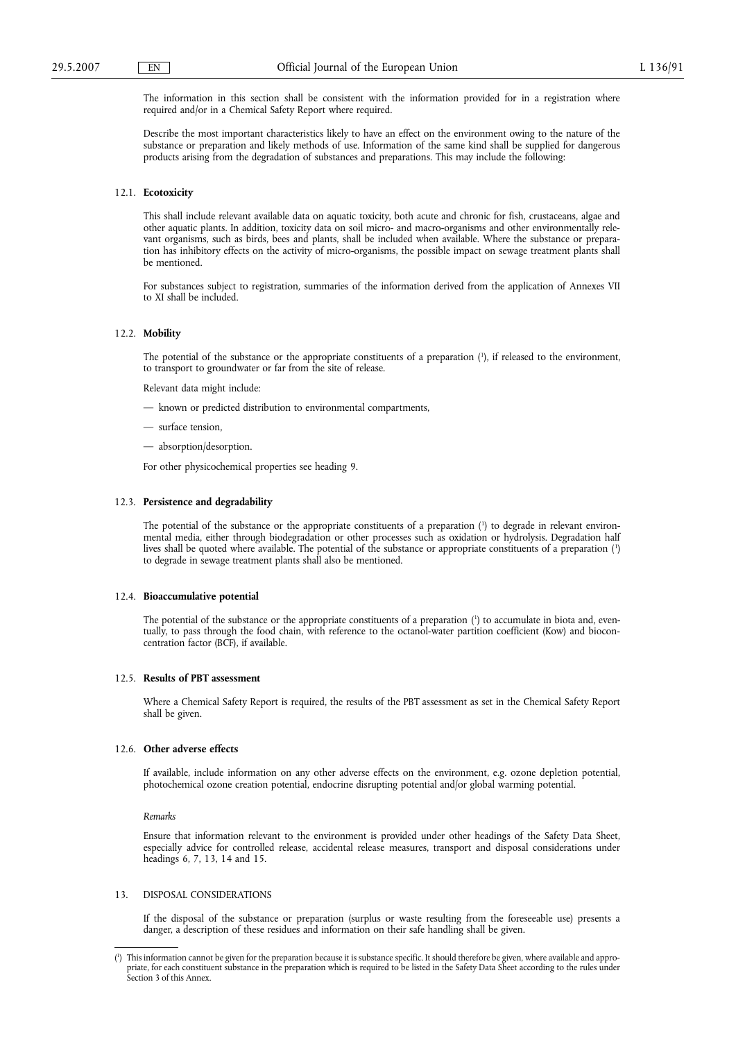The information in this section shall be consistent with the information provided for in a registration where required and/or in a Chemical Safety Report where required.

Describe the most important characteristics likely to have an effect on the environment owing to the nature of the substance or preparation and likely methods of use. Information of the same kind shall be supplied for dangerous products arising from the degradation of substances and preparations. This may include the following:

## 12.1. **Ecotoxicity**

This shall include relevant available data on aquatic toxicity, both acute and chronic for fish, crustaceans, algae and other aquatic plants. In addition, toxicity data on soil micro- and macro-organisms and other environmentally relevant organisms, such as birds, bees and plants, shall be included when available. Where the substance or preparation has inhibitory effects on the activity of micro-organisms, the possible impact on sewage treatment plants shall be mentioned.

For substances subject to registration, summaries of the information derived from the application of Annexes VII to XI shall be included.

## 12.2. **Mobility**

The potential of the substance or the appropriate constituents of a preparation (1 ), if released to the environment, to transport to groundwater or far from the site of release.

Relevant data might include:

— known or predicted distribution to environmental compartments,

- surface tension,
- absorption/desorption.

For other physicochemical properties see heading 9.

#### 12.3. **Persistence and degradability**

The potential of the substance or the appropriate constituents of a preparation  $\binom{1}{1}$  to degrade in relevant environmental media, either through biodegradation or other processes such as oxidation or hydrolysis. Degradation half lives shall be quoted where available. The potential of the substance or appropriate constituents of a preparation (<sup>1</sup>) to degrade in sewage treatment plants shall also be mentioned.

#### 12.4. **Bioaccumulative potential**

The potential of the substance or the appropriate constituents of a preparation (<sup>1</sup>) to accumulate in biota and, eventually, to pass through the food chain, with reference to the octanol-water partition coefficient (Kow) and bioconcentration factor (BCF), if available.

#### 12.5. **Results of PBT assessment**

Where a Chemical Safety Report is required, the results of the PBT assessment as set in the Chemical Safety Report shall be given.

## 12.6. **Other adverse effects**

If available, include information on any other adverse effects on the environment, e.g. ozone depletion potential, photochemical ozone creation potential, endocrine disrupting potential and/or global warming potential.

*Remarks*

Ensure that information relevant to the environment is provided under other headings of the Safety Data Sheet, especially advice for controlled release, accidental release measures, transport and disposal considerations under headings 6, 7, 13, 14 and 15.

## 13. DISPOSAL CONSIDERATIONS

If the disposal of the substance or preparation (surplus or waste resulting from the foreseeable use) presents a danger, a description of these residues and information on their safe handling shall be given.

<sup>(</sup> 1 ) This information cannot be given for the preparation because it is substance specific. It should therefore be given, where available and appropriate, for each constituent substance in the preparation which is required to be listed in the Safety Data Sheet according to the rules under Section 3 of this Annex.